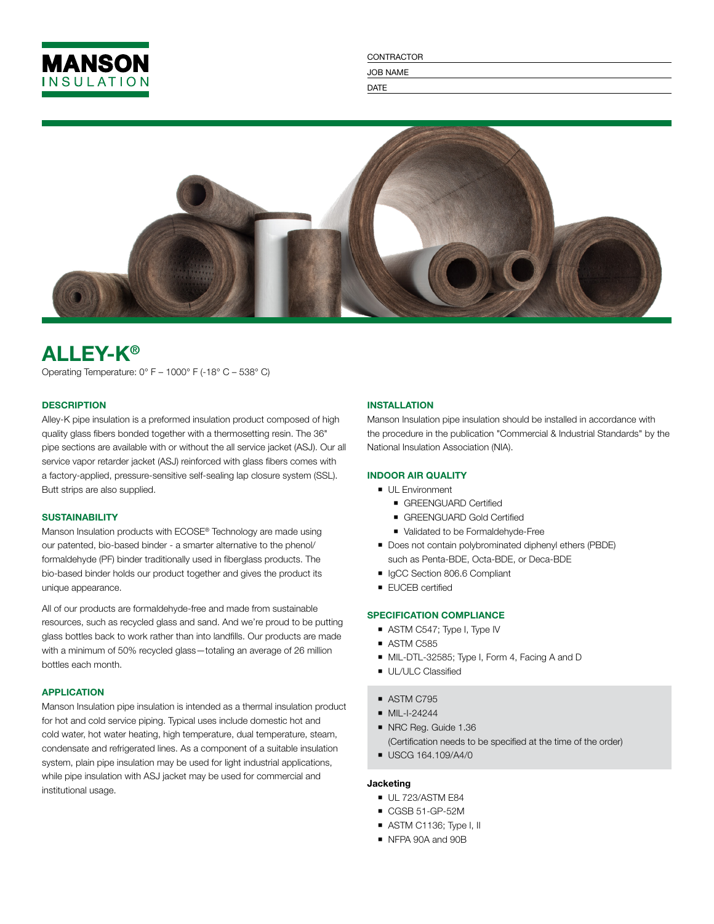

CONTRACTOR JOB NAME

DATE



# ALLEY-K®

Operating Temperature: 0° F – 1000° F (-18° C – 538° C)

# **DESCRIPTION**

Alley-K pipe insulation is a preformed insulation product composed of high quality glass fibers bonded together with a thermosetting resin. The 36" pipe sections are available with or without the all service jacket (ASJ). Our all service vapor retarder jacket (ASJ) reinforced with glass fibers comes with a factory-applied, pressure-sensitive self-sealing lap closure system (SSL). Butt strips are also supplied.

#### **SUSTAINABILITY**

Manson Insulation products with ECOSE® Technology are made using our patented, bio-based binder - a smarter alternative to the phenol/ formaldehyde (PF) binder traditionally used in fiberglass products. The bio-based binder holds our product together and gives the product its unique appearance.

All of our products are formaldehyde-free and made from sustainable resources, such as recycled glass and sand. And we're proud to be putting glass bottles back to work rather than into landfills. Our products are made with a minimum of 50% recycled glass—totaling an average of 26 million bottles each month.

## APPLICATION

Manson Insulation pipe insulation is intended as a thermal insulation product for hot and cold service piping. Typical uses include domestic hot and cold water, hot water heating, high temperature, dual temperature, steam, condensate and refrigerated lines. As a component of a suitable insulation system, plain pipe insulation may be used for light industrial applications, while pipe insulation with ASJ jacket may be used for commercial and institutional usage.

# INSTALLATION

Manson Insulation pipe insulation should be installed in accordance with the procedure in the publication "Commercial & Industrial Standards" by the National Insulation Association (NIA).

# INDOOR AIR QUALITY

- **UL Environment** 
	- **GREENGUARD Certified**
	- GREENGUARD Gold Certified
	- Validated to be Formaldehyde-Free
- Does not contain polybrominated diphenyl ethers (PBDE) such as Penta-BDE, Octa-BDE, or Deca-BDE
- IgCC Section 806.6 Compliant
- **FUCEB** certified

#### SPECIFICATION COMPLIANCE

- ASTM C547; Type I, Type IV
- ASTM C585
- MIL-DTL-32585; Type I, Form 4, Facing A and D
- **UL/ULC Classified**
- ASTM C795
- $\blacksquare$  MIL-I-24244
- NRC Reg. Guide 1.36 (Certification needs to be specified at the time of the order)
- USCG 164.109/A4/0

#### Jacketing

- UL 723/ASTM E84
- CGSB 51-GP-52M
- ASTM C1136; Type I, II
- NFPA 90A and 90B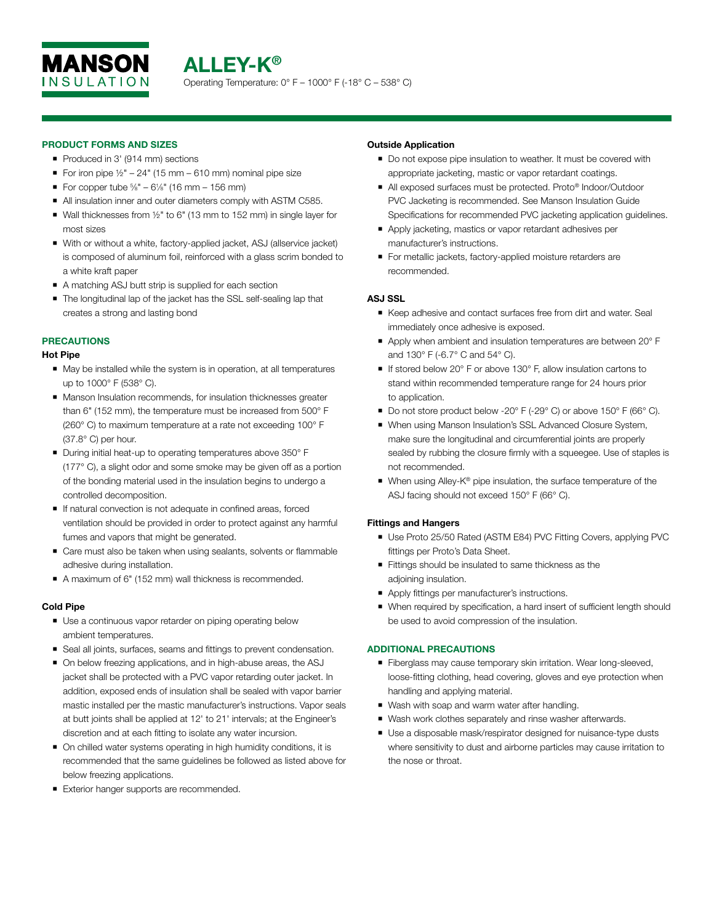

## PRODUCT FORMS AND SIZES

- Produced in 3' (914 mm) sections
- For iron pipe  $\frac{1}{2}$ " 24" (15 mm 610 mm) nominal pipe size
- For copper tube  $\frac{5}{8}$ " 61/<sub>8</sub>" (16 mm 156 mm)
- All insulation inner and outer diameters comply with ASTM C585.
- Wall thicknesses from  $1/2$ " to 6" (13 mm to 152 mm) in single layer for most sizes
- With or without a white, factory-applied jacket, ASJ (allservice jacket) is composed of aluminum foil, reinforced with a glass scrim bonded to a white kraft paper
- A matching ASJ butt strip is supplied for each section
- The longitudinal lap of the jacket has the SSL self-sealing lap that creates a strong and lasting bond

# PRECAUTIONS

#### Hot Pipe

- May be installed while the system is in operation, at all temperatures up to 1000° F (538° C).
- **Manson Insulation recommends, for insulation thicknesses greater** than 6" (152 mm), the temperature must be increased from 500° F (260° C) to maximum temperature at a rate not exceeding 100° F (37.8° C) per hour.
- During initial heat-up to operating temperatures above 350° F (177° C), a slight odor and some smoke may be given off as a portion of the bonding material used in the insulation begins to undergo a controlled decomposition.
- If natural convection is not adequate in confined areas, forced ventilation should be provided in order to protect against any harmful fumes and vapors that might be generated.
- Care must also be taken when using sealants, solvents or flammable adhesive during installation.
- A maximum of 6" (152 mm) wall thickness is recommended.

#### Cold Pipe

- **Use a continuous vapor retarder on piping operating below** ambient temperatures.
- Seal all joints, surfaces, seams and fittings to prevent condensation.
- On below freezing applications, and in high-abuse areas, the ASJ jacket shall be protected with a PVC vapor retarding outer jacket. In addition, exposed ends of insulation shall be sealed with vapor barrier mastic installed per the mastic manufacturer's instructions. Vapor seals at butt joints shall be applied at 12' to 21' intervals; at the Engineer's discretion and at each fitting to isolate any water incursion.
- On chilled water systems operating in high humidity conditions, it is recommended that the same guidelines be followed as listed above for below freezing applications.
- Exterior hanger supports are recommended.

#### Outside Application

- Do not expose pipe insulation to weather. It must be covered with appropriate jacketing, mastic or vapor retardant coatings.
- All exposed surfaces must be protected. Proto® Indoor/Outdoor PVC Jacketing is recommended. See Manson Insulation Guide Specifications for recommended PVC jacketing application guidelines.
- Apply jacketing, mastics or vapor retardant adhesives per manufacturer's instructions.
- For metallic jackets, factory-applied moisture retarders are recommended.

## ASJ SSL

- Keep adhesive and contact surfaces free from dirt and water. Seal immediately once adhesive is exposed.
- Apply when ambient and insulation temperatures are between 20° F and 130° F (-6.7° C and 54° C).
- If stored below 20 $\degree$  F or above 130 $\degree$  F, allow insulation cartons to stand within recommended temperature range for 24 hours prior to application.
- Do not store product below -20° F (-29° C) or above 150° F (66° C).
- When using Manson Insulation's SSL Advanced Closure System, make sure the longitudinal and circumferential joints are properly sealed by rubbing the closure firmly with a squeegee. Use of staples is not recommended.
- When using Alley-K® pipe insulation, the surface temperature of the ASJ facing should not exceed 150° F (66° C).

#### Fittings and Hangers

- Use Proto 25/50 Rated (ASTM E84) PVC Fitting Covers, applying PVC fittings per Proto's Data Sheet.
- Fittings should be insulated to same thickness as the adjoining insulation.
- Apply fittings per manufacturer's instructions.
- When required by specification, a hard insert of sufficient length should be used to avoid compression of the insulation.

# ADDITIONAL PRECAUTIONS

- Fiberglass may cause temporary skin irritation. Wear long-sleeved, loose-fitting clothing, head covering, gloves and eye protection when handling and applying material.
- Wash with soap and warm water after handling.
- Wash work clothes separately and rinse washer afterwards.
- Use a disposable mask/respirator designed for nuisance-type dusts where sensitivity to dust and airborne particles may cause irritation to the nose or throat.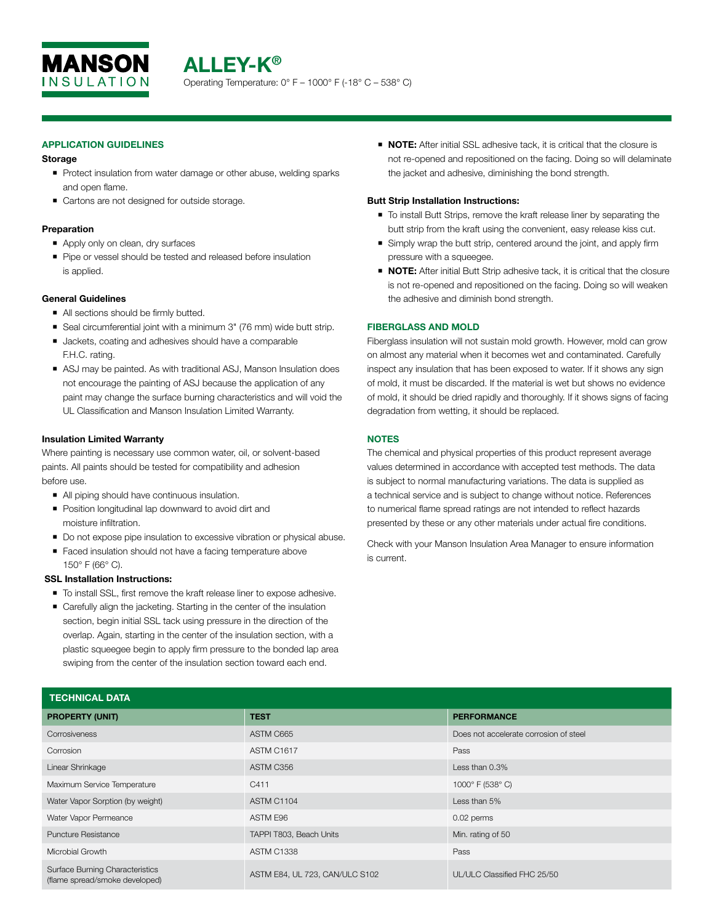

## APPLICATION GUIDELINES

#### Storage

- Protect insulation from water damage or other abuse, welding sparks and open flame.
- Cartons are not designed for outside storage.

#### Preparation

- Apply only on clean, dry surfaces
- Pipe or vessel should be tested and released before insulation is applied.

## General Guidelines

- All sections should be firmly butted.
- Seal circumferential joint with a minimum 3" (76 mm) wide butt strip.
- **Jackets, coating and adhesives should have a comparable** F.H.C. rating.
- ASJ may be painted. As with traditional ASJ, Manson Insulation does not encourage the painting of ASJ because the application of any paint may change the surface burning characteristics and will void the UL Classification and Manson Insulation Limited Warranty.

## Insulation Limited Warranty

Where painting is necessary use common water, oil, or solvent-based paints. All paints should be tested for compatibility and adhesion before use.

- All piping should have continuous insulation.
- **Position longitudinal lap downward to avoid dirt and** moisture infiltration.
- Do not expose pipe insulation to excessive vibration or physical abuse.
- Faced insulation should not have a facing temperature above 150° F (66° C).

# SSL Installation Instructions:

- $\blacksquare$  To install SSL, first remove the kraft release liner to expose adhesive.
- Carefully align the jacketing. Starting in the center of the insulation section, begin initial SSL tack using pressure in the direction of the overlap. Again, starting in the center of the insulation section, with a plastic squeegee begin to apply firm pressure to the bonded lap area swiping from the center of the insulation section toward each end.

■ **NOTE:** After initial SSL adhesive tack, it is critical that the closure is not re-opened and repositioned on the facing. Doing so will delaminate the jacket and adhesive, diminishing the bond strength.

## Butt Strip Installation Instructions:

- To install Butt Strips, remove the kraft release liner by separating the butt strip from the kraft using the convenient, easy release kiss cut.
- Simply wrap the butt strip, centered around the joint, and apply firm pressure with a squeegee.
- **NOTE:** After initial Butt Strip adhesive tack, it is critical that the closure is not re-opened and repositioned on the facing. Doing so will weaken the adhesive and diminish bond strength.

## FIBERGLASS AND MOLD

Fiberglass insulation will not sustain mold growth. However, mold can grow on almost any material when it becomes wet and contaminated. Carefully inspect any insulation that has been exposed to water. If it shows any sign of mold, it must be discarded. If the material is wet but shows no evidence of mold, it should be dried rapidly and thoroughly. If it shows signs of facing degradation from wetting, it should be replaced.

# **NOTES**

The chemical and physical properties of this product represent average values determined in accordance with accepted test methods. The data is subject to normal manufacturing variations. The data is supplied as a technical service and is subject to change without notice. References to numerical flame spread ratings are not intended to reflect hazards presented by these or any other materials under actual fire conditions.

Check with your Manson Insulation Area Manager to ensure information is current.

| <b>TECHNICAL DATA</b>                                                    |                                |                                        |  |  |
|--------------------------------------------------------------------------|--------------------------------|----------------------------------------|--|--|
| <b>PROPERTY (UNIT)</b>                                                   | <b>TEST</b>                    | <b>PERFORMANCE</b>                     |  |  |
| Corrosiveness                                                            | ASTM C665                      | Does not accelerate corrosion of steel |  |  |
| Corrosion                                                                | ASTM C1617                     | Pass                                   |  |  |
| Linear Shrinkage                                                         | ASTM C356                      | Less than $0.3\%$                      |  |  |
| Maximum Service Temperature                                              | C411                           | 1000° F (538° C)                       |  |  |
| Water Vapor Sorption (by weight)                                         | ASTM C1104                     | Less than 5%                           |  |  |
| Water Vapor Permeance                                                    | ASTM E96                       | 0.02 perms                             |  |  |
| <b>Puncture Resistance</b>                                               | TAPPI T803, Beach Units        | Min. rating of 50                      |  |  |
| Microbial Growth                                                         | <b>ASTM C1338</b>              | Pass                                   |  |  |
| <b>Surface Burning Characteristics</b><br>(flame spread/smoke developed) | ASTM E84, UL 723, CAN/ULC S102 | UL/ULC Classified FHC 25/50            |  |  |